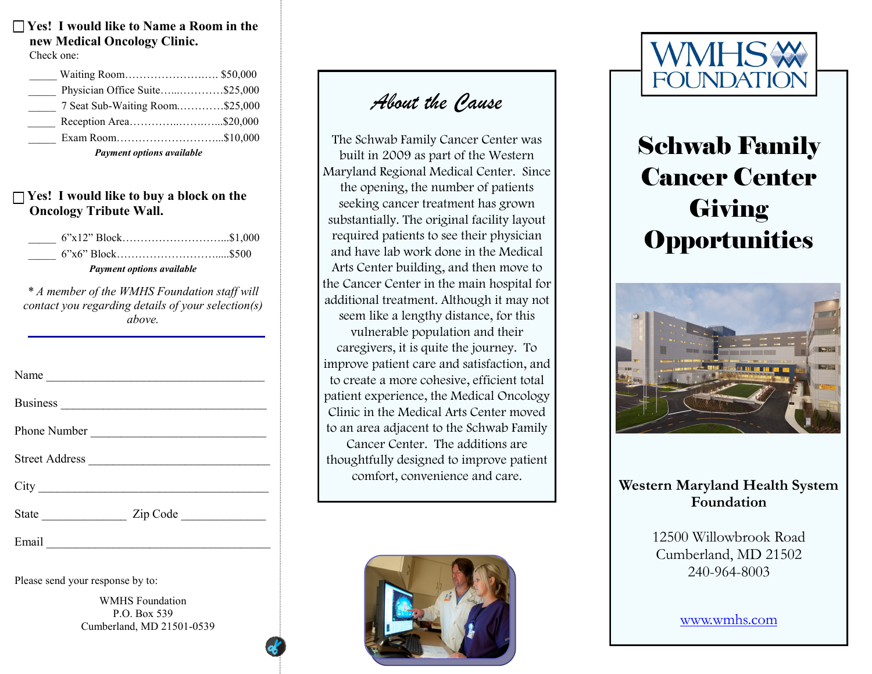**Yes! I would like to Name a Room in the new Medical Oncology Clinic.** Check one:

| Waiting Room \$50,000           |  |
|---------------------------------|--|
| Physician Office Suite\$25,000  |  |
| 7 Seat Sub-Waiting Room\$25,000 |  |
| Reception Area\$20,000          |  |
| Exam Room\$10,000               |  |
|                                 |  |

*Payment options available*

#### **Yes! I would like to buy a block on the Oncology Tribute Wall.**

| $6"x12" Block$ \$1,000           |  |
|----------------------------------|--|
|                                  |  |
| <b>Payment options available</b> |  |

 *\* A member of the WMHS Foundation staff will contact you regarding details of your selection(s) above.* 

| Name           |                       |
|----------------|-----------------------|
|                |                       |
| Phone Number   |                       |
| Street Address |                       |
|                |                       |
|                | State <u>Zip</u> Code |
|                |                       |

Please send your response by to:

 P.O. Box 539 WMHS Foundation Cumberland, MD 21501-0539

### *About the Cause*

the opening, the number of patients seem like a lengthy distance, for this vulnerable population and their The Schwab Family Cancer Center was built in 2009 as part of the Western Maryland Regional Medical Center. Since seeking cancer treatment has grown substantially. The original facility layout required patients to see their physician and have lab work done in the Medical Arts Center building, and then move to the Cancer Center in the main hospital for additional treatment. Although it may not caregivers, it is quite the journey. To improve patient care and satisfaction, and to create a more cohesive, efficient total patient experience, the Medical Oncology Clinic in the Medical Arts Center moved to an area adjacent to the Schwab Family Cancer Center. The additions are thoughtfully designed to improve patient comfort, convenience and care.





### Schwab Family Cancer Center **Giving Opportunities**



#### **Western Maryland Health System Foundation**

 Cumberland, MD 21502 12500 Willowbrook Road 240-964-8003

www.wmhs.com